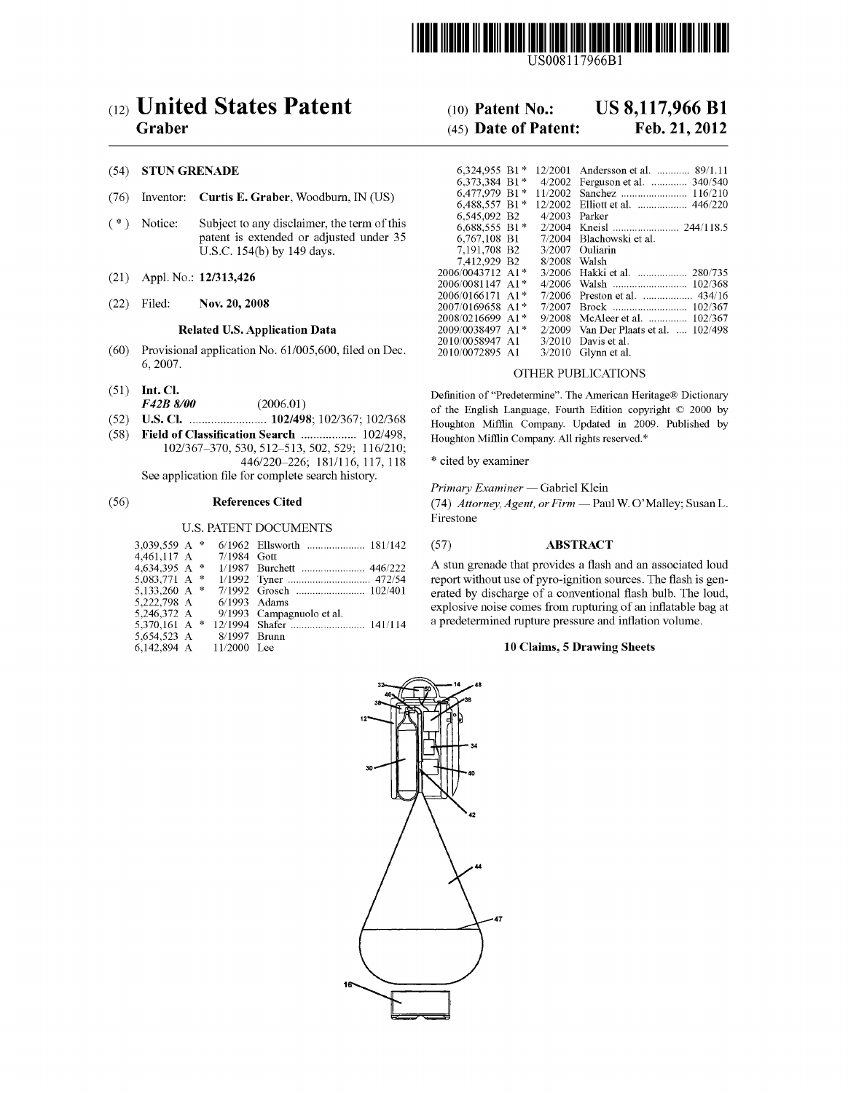

USOO81 17966B1

# (12) United States Patent (10) Patent No.: US 8,117,966 B1<br>Graber (45) Date of Patent: Feb. 21, 2012

#### (54) STUN GRENADE

- (76) Inventor: Curtis E. Graber, Woodburn, IN (US)
- $(*)$  Notice: Subject to any disclaimer, the term of this patent is extended or adjusted under 35 U.S.C. 154(b) by 149 days.
- $(21)$  Appl. No.:  $12/313,426$
- 

## Related U.S. Application Data

- (60) Provisional application No.  $61/005,600$ , filed on Dec.  $6,2007$ .
- 
- 
- 
- (8) Fiele:Saisy Sathgg's Houghton Mimin Company Alrights reserved."  $446/220-226$ ; 181/116, 117, 118<br>See application file for complete search history.

#### U.S. PATENT DOCUMENTS

| 3.039.559 A $*$ |  |                |                           |
|-----------------|--|----------------|---------------------------|
| 4.461.117 A     |  | $7/1984$ Gott  |                           |
| 4.634.395 A $*$ |  |                |                           |
| 5.083.771 A $*$ |  |                |                           |
| 5.133.260 A $*$ |  |                |                           |
| 5,222,798 A     |  | $6/1993$ Adams |                           |
| 5.246.372 A     |  |                | 9/1993 Campagnuolo et al. |
| 5,370,161 A *   |  |                |                           |
| 5,654,523 A     |  | $8/1997$ Brunn |                           |
| 6.142.894 A     |  | $11/2000$ Lee  |                           |

# $(45)$  Date of Patent:

| (54)                          | <b>STUN GRENADE</b>                         |                                                       |                                            |                                | 6.324.955 B1* 12/2001 Andersson et al.  89/1.11 |
|-------------------------------|---------------------------------------------|-------------------------------------------------------|--------------------------------------------|--------------------------------|-------------------------------------------------|
|                               |                                             |                                                       | 6,373,384 B1*                              |                                | 4/2002 Ferguson et al.  340/540                 |
| (76)                          |                                             | Inventor: Curtis E. Graber, Woodburn, IN (US)         |                                            |                                |                                                 |
|                               |                                             |                                                       | 6,488,557 B1*                              |                                | 12/2002 Elliott et al.  446/220                 |
| $(\ast)$<br>Notice:           |                                             | 6.545.092 B2                                          | $4/2003$ Parker                            |                                |                                                 |
|                               | Subject to any disclaimer, the term of this | $6.688.555 B1*$                                       |                                            |                                |                                                 |
|                               |                                             | patent is extended or adjusted under 35               | 6.767.108 B1                               |                                | 7/2004 Blachowski et al.                        |
|                               |                                             | U.S.C. 154(b) by 149 days.                            | 7.191.708 B2                               |                                | 3/2007 Ouliarin                                 |
|                               |                                             |                                                       | 7.412.929 B2                               | 8/2008 Walsh                   |                                                 |
| Appl. No.: 12/313,426<br>(21) |                                             | 2006/0043712 A1*                                      |                                            | 3/2006 Hakki et al.<br>280/735 |                                                 |
|                               |                                             | 2006/0081147 A1*                                      |                                            | 102/368                        |                                                 |
|                               |                                             |                                                       | $2006/0166171$ A <sub>1</sub> <sup>*</sup> |                                | 7/2006 Preston et al.<br>434/16                 |
| (22)                          | Filed:                                      | Nov. 20, 2008                                         | $2007/0169658$ A <sub>1</sub> *            |                                |                                                 |
|                               |                                             |                                                       | 2008/0216699 A1*                           |                                | 9/2008 McAleer et al.  102/367                  |
|                               |                                             | Related U.S. Application Data                         | 2009/0038497 A1*                           | 2/2009                         | Van Der Plaats et al.  102/498                  |
|                               |                                             |                                                       | 2010/0058947 A1                            |                                | $3/2010$ Davis et al.                           |
| (60)                          |                                             | Provisional application No. 61/005,600, filed on Dec. | 2010/0072895 A1                            |                                | $3/2010$ Glynn et al.                           |

## OTHER PUBLICATIONS

(51) Int. Cl.  $F42B 8/00$  (2006.01) Definition of "Predetermine". The American Heritage Dictionary<br>of the English Language Fourth Edition contribution 2000 by F42B8/00 (2006.01) of the English Language, Fourth Edition copyright (C) 2000 by Houghton Mifflin Company. Updated in 2009. Published by

See Application File Filmary Examiner — Gabriel Klein<br>
Seferences Cited (74) Attorney, Agent, or Firm — Pau

(56) **References Cited** 74) Attorney, Agent, or Firm — Paul W. O'Malley; Susan L. Firestone

#### (57) ABSTRACT

A stun grenade that provides a flash and an associated loud report without use of pyro-ignition sources. The flash is generated by discharge of a conventional flash bulb. The loud, explosive noise comes from rupturing of an inflatable bag at a predetermined rupture pressure and inflation Volume.

## 10 Claims, 5 Drawing Sheets

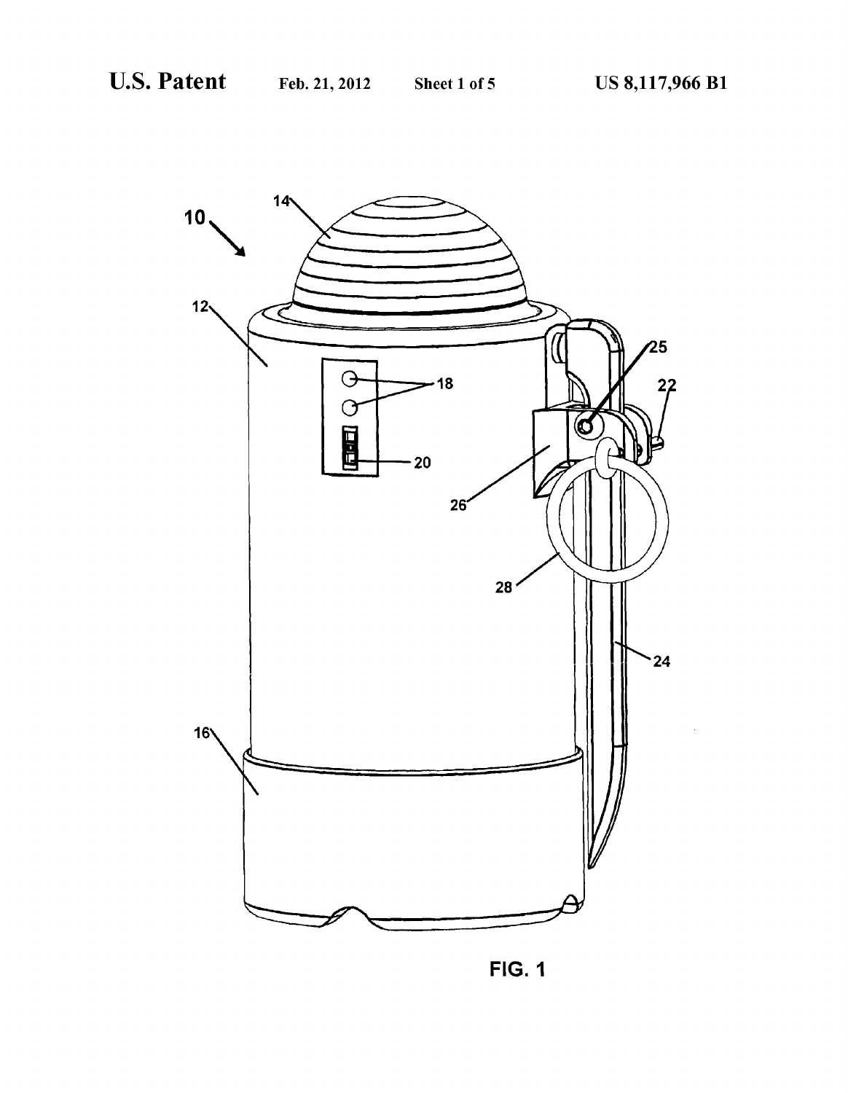

**FIG. 1**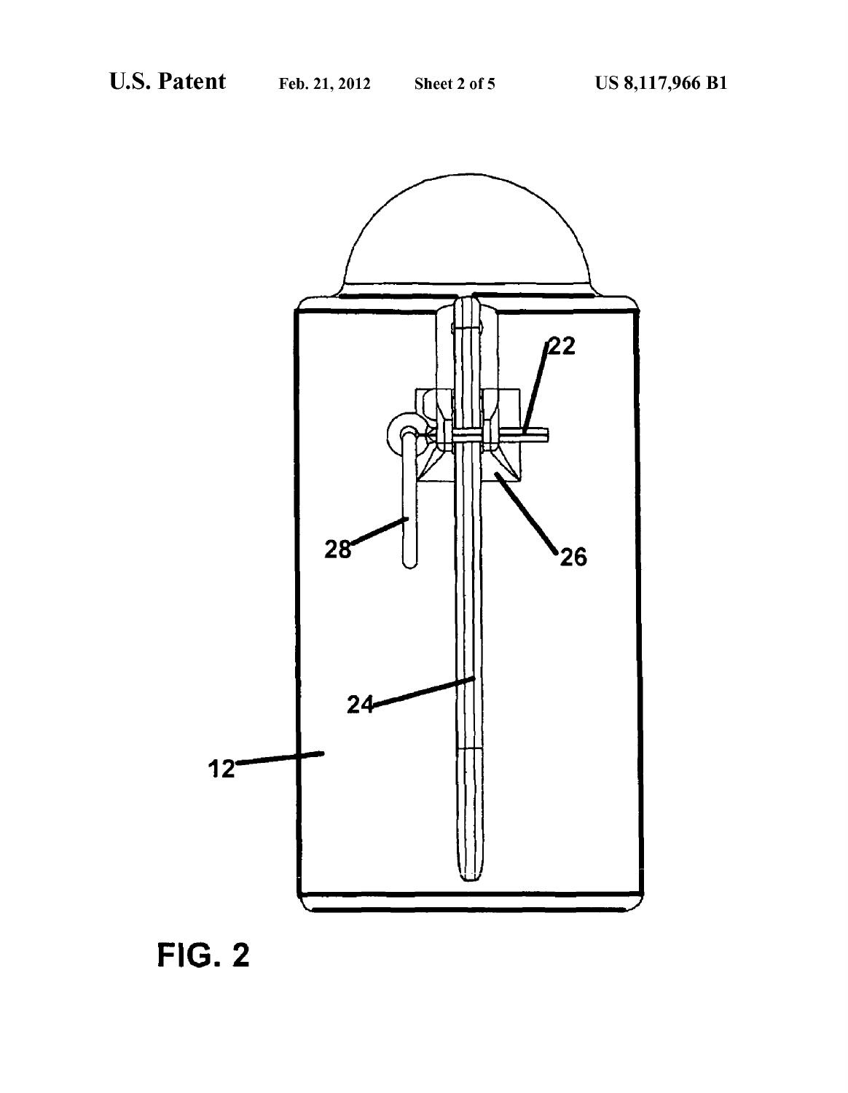

FIG. 2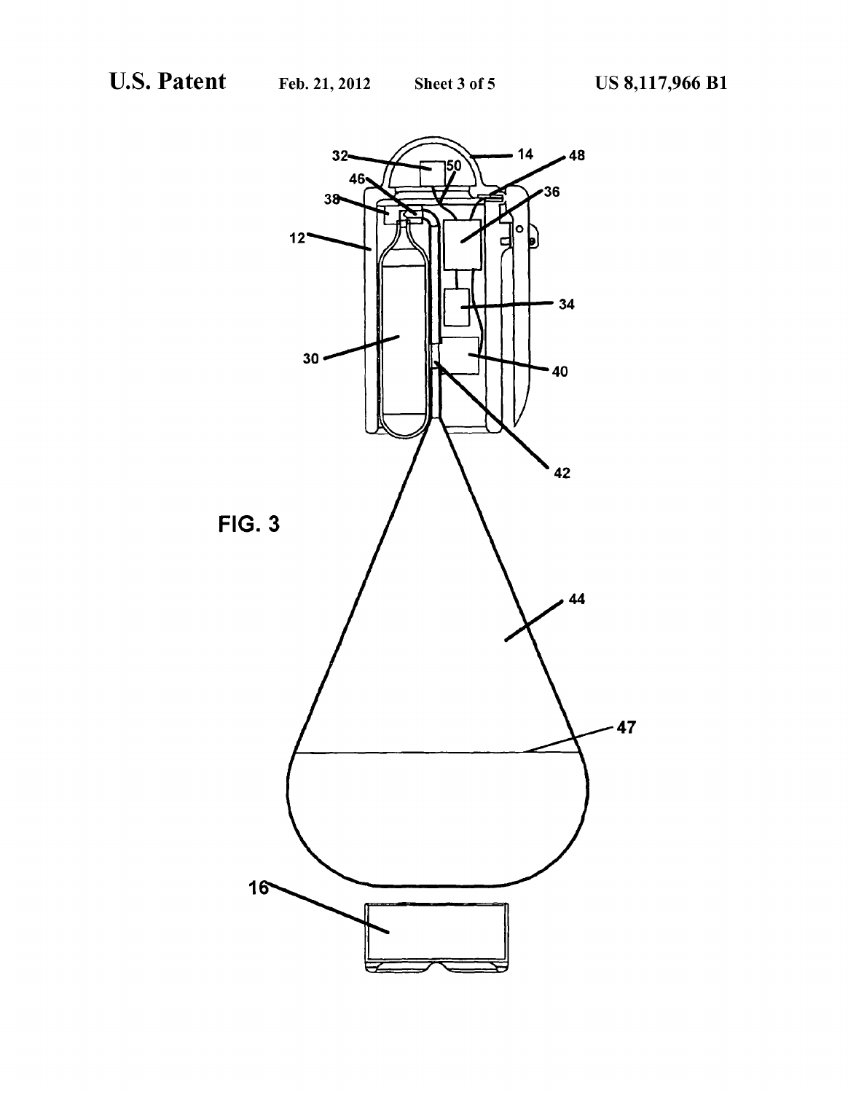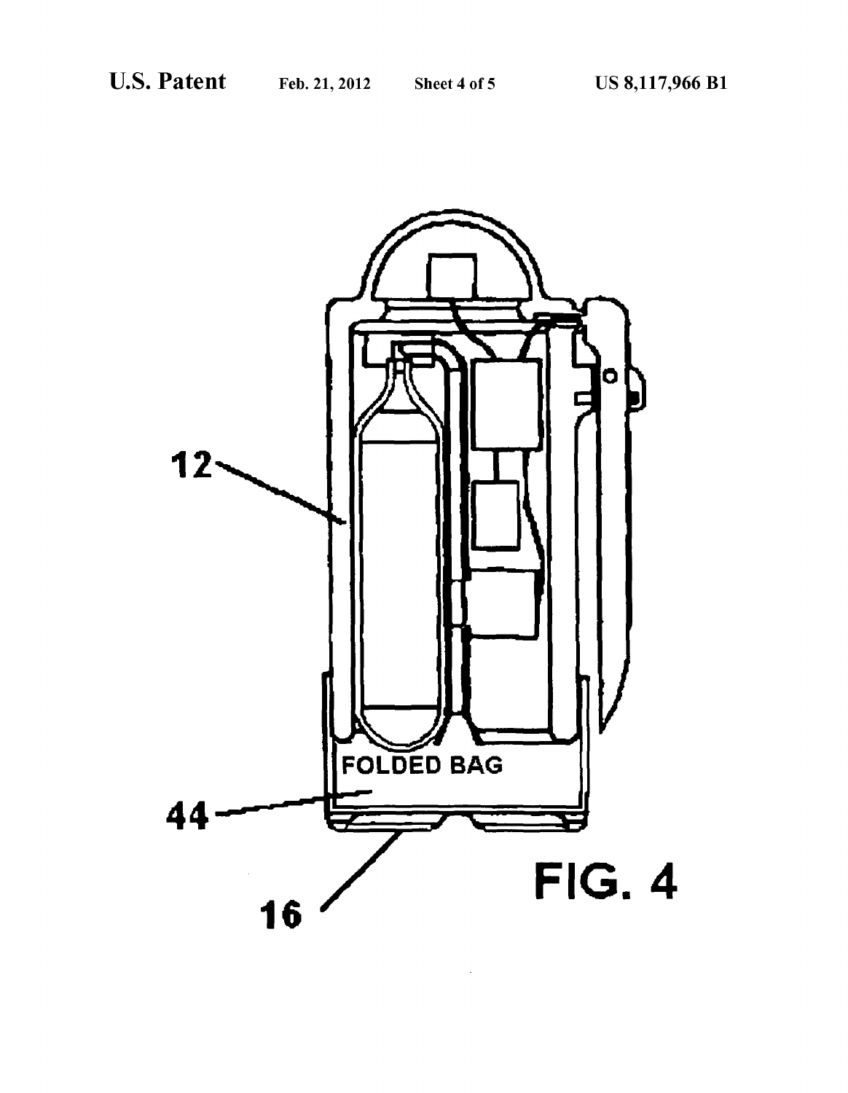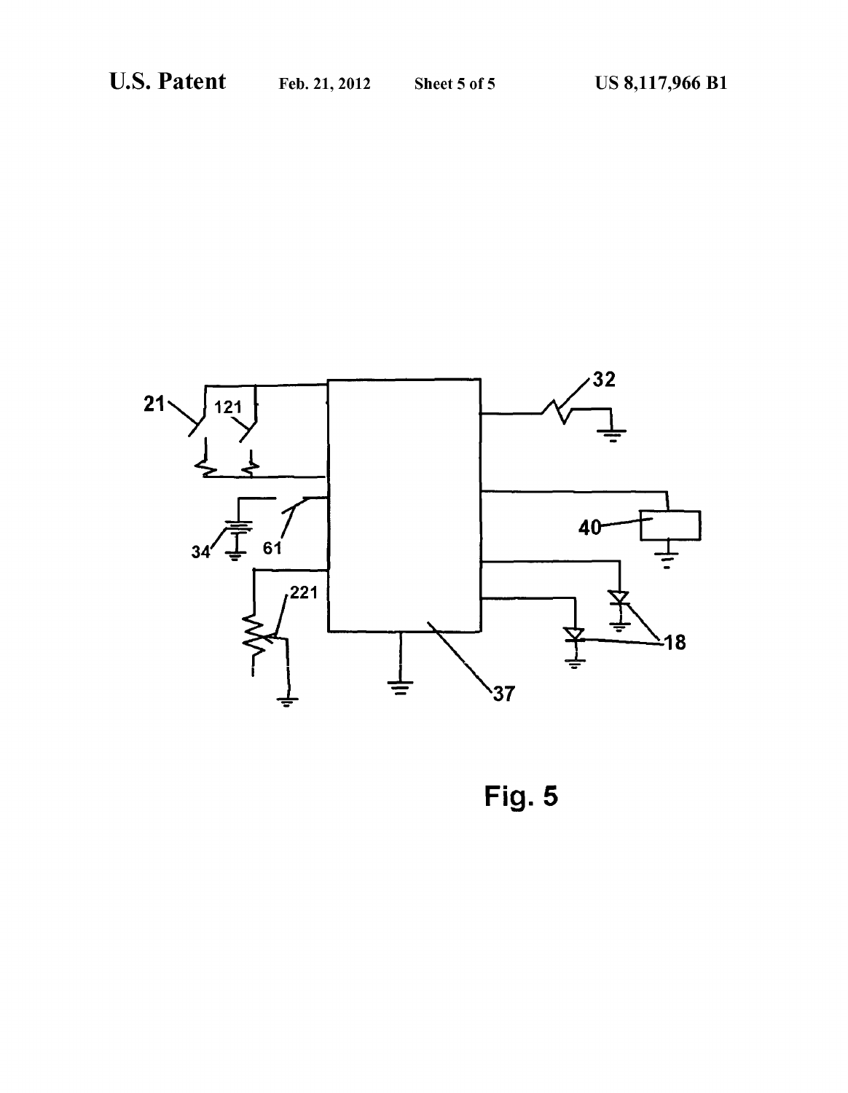

Fig. 5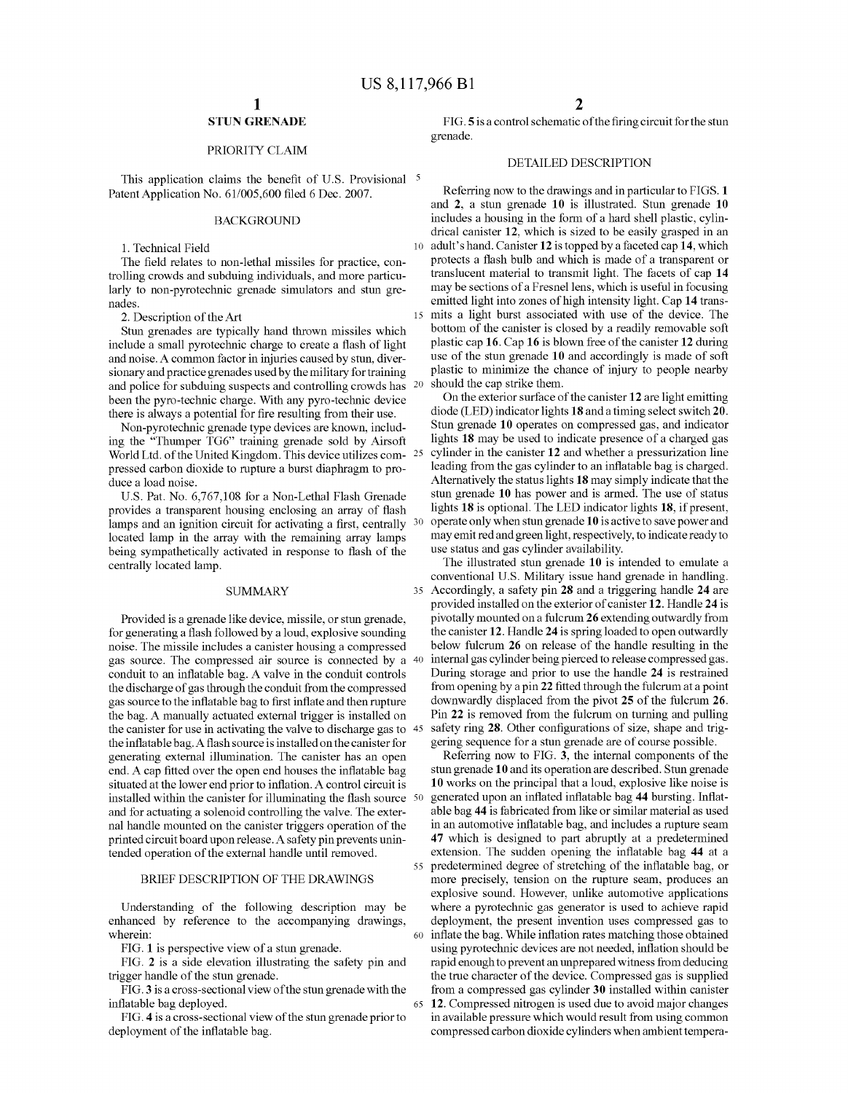10

15

60

65

## STUN GRENADE

## PRIORITY CLAIM

This application claims the benefit of U.S. Provisional <sup>5</sup> Patent Application No. 61/005,600 filed 6 Dec. 2007.

#### BACKGROUND

1. Technical Field

The field relates to non-lethal missiles for practice, con trolling crowds and Subduing individuals, and more particu larly to non-pyrotechnic grenade simulators and stun gre nades.

2. Description of the Art

Stun grenades are typically hand thrown missiles which include a small pyrotechnic charge to create a flash of light and noise. A common factor in injuries caused by Stun, diver sionary and practice grenades used by the military fortraining and police for subduing suspects and controlling crowds has <sup>20</sup> been the pyro-technic charge. With any pyro-technic device there is always a potential for fire resulting from their use.

Non-pyrotechnic grenade type devices are known, includ ing the "Thumper TG6' training grenade sold by Airsoft World Ltd. of the United Kingdom. This device utilizes com- $25$ pressed carbon dioxide to rupture a burst diaphragm to pro duce a load noise.

U.S. Pat. No. 6,767,108 for a Non-Lethal Flash Grenade provides a transparent housing enclosing an array of flash lamps and an ignition circuit for activating a first, centrally <sup>30</sup> located lamp in the array with the remaining array lamps being sympathetically activated in response to flash of the centrally located lamp.

#### **SUMMARY**

Provided is a grenade like device, missile, or stun grenade, for generating a flash followed by a loud, explosive sounding noise. The missile includes a canister housing a compressed gas source. The compressed air source is connected by a 40 conduit to an inflatable bag. A valve in the conduit controls the discharge of gas through the conduit from the compressed gas source to the inflatable bag to first inflate and then rupture the bag. A manually actuated external trigger is installed on the canister for use in activating the valve to discharge gas to 45 the inflatable bag. A flash source is installed on the canister for generating external illumination. The canister has an open end. A cap fitted over the open end houses the inflatable bag situated at the lower end prior to inflation. A control circuit is installed within the canister for illuminating the flash source 50 and for actuating a solenoid controlling the valve. The external handle mounted on the canister triggers operation of the printed circuit board upon release. A safety pin prevents unintended operation of the external handle until removed.

#### BRIEF DESCRIPTION OF THE DRAWINGS

Understanding of the following description may be enhanced by reference to the accompanying drawings, wherein:

FIG. 1 is perspective view of a stun grenade.

FIG. 2 is a side elevation illustrating the safety pin and trigger handle of the stun grenade.

FIG.3 is a cross-sectional view of the stun grenade with the inflatable bag deployed.

FIG. 4 is a cross-sectional view of the stun grenade prior to deployment of the inflatable bag.

FIG.5 is a control schematic of the firing circuit for the stun grenade.

## DETAILED DESCRIPTION

Referring now to the drawings and in particular to FIGS. 1 and 2, a stun grenade 10 is illustrated. Stun grenade 10 includes a housing in the form of a hard shell plastic, cylin drical canister 12, which is sized to be easily grasped in an adult's hand. Canister 12 is topped by a faceted cap  $14$ , which protects a flash bulb and which is made of a transparent or translucent material to transmit light. The facets of cap 14 may be sections of a Fresnel lens, which is useful in focusing emitted light into zones of high intensity light. Cap 14 transmits a light burst associated with use of the device. The bottom of the canister is closed by a readily removable soft plastic cap 16. Cap 16 is blown free of the canister 12 during use of the stun grenade 10 and accordingly is made of soft plastic to minimize the chance of injury to people nearby should the cap strike them.

On the exterior surface of the canister 12 are light emitting diode (LED) indicator lights 18 and a timing select switch 20. Stun grenade 10 operates on compressed gas, and indicator lights 18 may be used to indicate presence of a charged gas cylinder in the canister 12 and whether a pressurization line leading from the gas cylinder to an inflatable bag is charged. Alternatively the status lights 18 may simply indicate that the stun grenade 10 has power and is armed. The use of status lights 18 is optional. The LED indicator lights 18, if present, operate only when stun grenade 10 is active to save power and may emit red and green light, respectively, to indicate ready to use status and gas cylinder availability.

35 conventional U.S. Military issue hand grenade in handling. Accordingly, a safety pin 28 and a triggering handle 24 are The illustrated stun grenade 10 is intended to emulate a conventional U.S. Military issue hand grenade in handling. provided installed on the exterior of canister 12. Handle 24 is pivotally mounted on a fulcrum 26 extending outwardly from the canister 12. Handle 24 is spring loaded to open outwardly below fulcrum 26 on release of the handle resulting in the internal gas cylinder being pierced to release compressed gas. During storage and prior to use the handle 24 is restrained from opening by a pin 22 fitted through the fulcrum at a point downwardly displaced from the pivot 25 of the fulcrum 26.<br>Pin 22 is removed from the fulcrum on turning and pulling safety ring 28. Other configurations of size, shape and triggering sequence for a stun grenade are of course possible.

55 predetermined degree of stretching of the inflatable bag, or Referring now to FIG. 3, the internal components of the stun grenade 10 and its operation are described. Stun grenade 10 works on the principal that a loud, explosive like noise is generated upon an inflated inflatable bag 44 bursting. Inflat able bag 44 is fabricated from like or similar material as used in an automotive inflatable bag, and includes a rupture seam 47 which is designed to part abruptly at a predetermined extension. The sudden opening the inflatable bag 44 at a more precisely, tension on the rupture seam, produces an explosive sound. However, unlike automotive applications where a pyrotechnic gas generator is used to achieve rapid deployment, the present invention uses compressed gas to inflate the bag. While inflation rates matching those obtained using pyrotechnic devices are not needed, inflation should be rapid enough to prevent an unprepared witness from deducing the true character of the device. Compressed gas is supplied from a compressed gas cylinder 30 installed within canister 12. Compressed nitrogen is used due to avoid major changes in available pressure which would result from using common compressed carbon dioxide cylinders when ambient tempera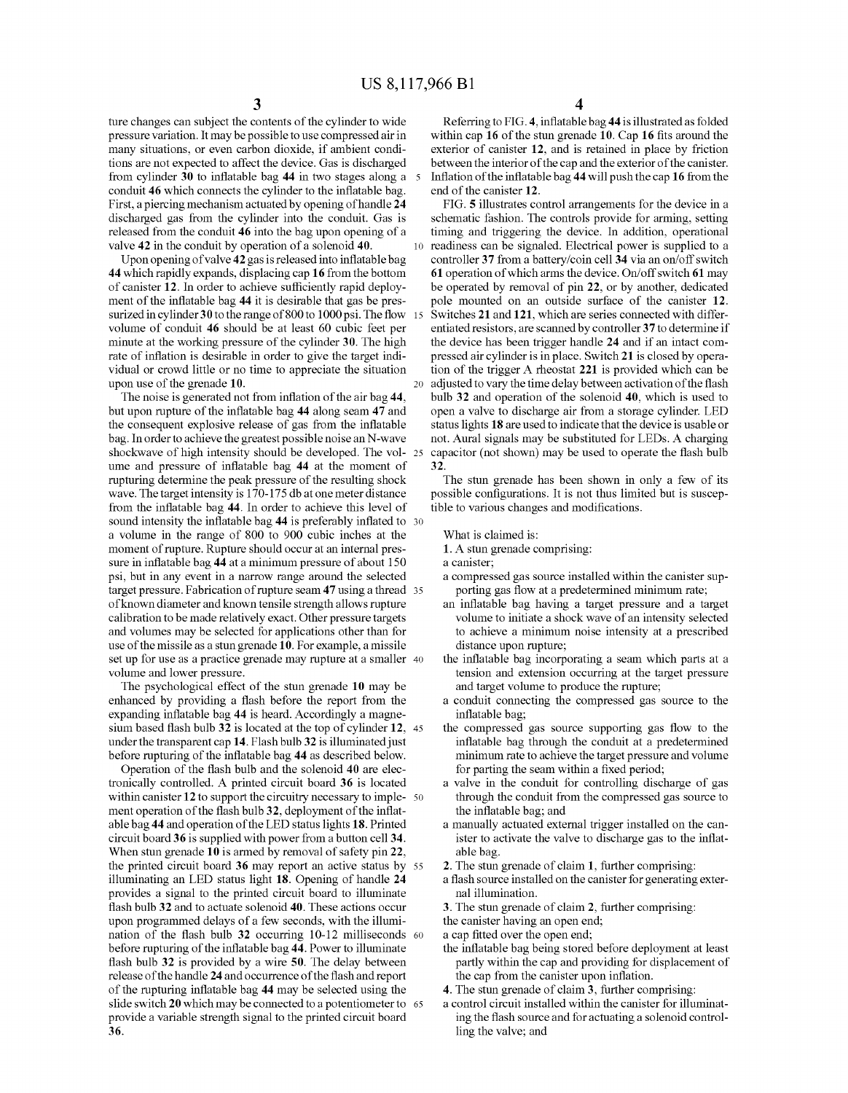10

20

ture changes can subject the contents of the cylinder to wide pressure variation. It may be possible to use compressed air in many situations, or even carbon dioxide, if ambient conditions are not expected to affect the device. Gas is discharged from cylinder 30 to inflatable bag 44 in two stages along a 5 conduit 46 which connects the cylinder to the inflatable bag. First, a piercing mechanism actuated by opening of handle 24 discharged gas from the cylinder into the conduit. Gas is released from the conduit 46 into the bag upon opening of a

valve 42 in the conduit by operation of a solenoid 40.<br>Upon opening of valve 42 gas is released into inflatable bag 44 which rapidly expands, displacing cap 16 from the bottom of canister 12. In order to achieve sufficiently rapid deployment of the inflatable bag 44 it is desirable that gas be presment of the inflatable bag 44 it is desirable that gas be pressurized in cylinder 30 to the range of 800 to 1000 psi. The flow 15 volume of conduit 46 should be at least 60 cubic feet per minute at the working pressure of the cylinder 30. The high rate of inflation is desirable in order to give the target indi vidual or crowd little or no time to appreciate the situation upon use of the grenade 10.

The noise is generated not from inflation of the air bag 44, but upon rupture of the inflatable bag 44 along seam 47 and the consequent explosive release of gas from the inflatable bag. In order to achieve the greatest possible noise an N-wave shockwave of high intensity should be developed. The vol- 25 ume and pressure of inflatable bag 44 at the moment of rupturing determine the peak pressure of the resulting shock wave. The target intensity is 170-175 db at one meter distance from the inflatable bag 44. In order to achieve this level of sound intensity the inflatable bag 44 is preferably inflated to 30 a volume in the range of 800 to 900 cubic inches at the moment of rupture. Rupture should occur at an internal pres sure in inflatable bag 44 at a minimum pressure of about 150 psi, but in any event in a narrow range around the selected target pressure. Fabrication of rupture seam 47 using a thread 35 of known diameter and known tensile strength allows rupture calibration to be made relatively exact. Other pressure targets and Volumes may be selected for applications other than for use of the missile as a stun grenade 10. For example, a missile set up for use as a practice grenade may rupture at a smaller 40

Volume and lower pressure. The psychological effect of the stun grenade 10 may be enhanced by providing a flash before the report from the expanding inflatable bag 44 is heard. Accordingly a magne sium based flash bulb  $32$  is located at the top of cylinder  $12$ ,  $45$ under the transparent cap 14. Flash bulb 32 is illuminated just before rupturing of the inflatable bag 44 as described below.

Operation of the flash bulb and the solenoid 40 are elec tronically controlled. A printed circuit board 36 is located within canister  $12$  to support the circuitry necessary to imple-  $50$ ment operation of the flash bulb 32, deployment of the inflatable bag 44 and operation of the LED status lights 18. Printed circuit board 36 is supplied with power from a button cell 34. When stun grenade 10 is armed by removal of safety pin 22, illuminating an LED status light 18. Opening of handle 24 provides a signal to the printed circuit board to illuminate flash bulb 32 and to actuate solenoid 40. These actions occur upon programmed delays of a few seconds, with the illumi nation of the flash bulb 32 occurring 10-12 milliseconds before rupturing of the inflatable bag 44. Power to illuminate flash bulb 32 is provided by a wire 50. The delay between release of the handle 24 and occurrence of the flash and report of the rupturing inflatable bag 44 may be selected using the slide switch 20 which may be connected to a potentiometer to provide a variable strength signal to the printed circuit board 36. the printed circuit board 36 may report an active status by 55 60 65

Referring to FIG.4, inflatable bag 44 is illustrated as folded within cap 16 of the stun grenade 10. Cap 16 fits around the exterior of canister 12, and is retained in place by friction between the interior of the cap and the exterior of the canister. Inflation of the inflatable bag 44 will push the cap 16 from the end of the canister 12.

FIG. 5 illustrates control arrangements for the device in a timing and triggering the device. In addition, operational readiness can be signaled. Electrical power is supplied to a controller 37 from a battery/coin cell 34 via an on/off switch 61 operation of which arms the device. On/off switch 61 may be operated by removal of pin 22, or by another, dedicated pole mounted on an outside Surface of the canister 12. Switches 21 and 121, which are series connected with differ entiated resistors, are scanned by controller 37 to determine if the device has been trigger handle 24 and if an intact com pressed air cylinder is in place. Switch 21 is closed by opera tion of the trigger A rheostat 221 is provided which can be adjusted to vary the time delay between activation of the flash bulb 32 and operation of the solenoid 40, which is used to open a valve to discharge air from a storage cylinder. LED status lights 18 are used to indicate that the device is usable or not. Aural signals may be substituted for LEDs. A charging capacitor (not shown) may be used to operate the flash bulb 32.

The stun grenade has been shown in only a few of its possible configurations. It is not thus limited but is susceptible to various changes and modifications.

What is claimed is:

1. A stun grenade comprising:

- a canister;<br>a compressed gas source installed within the canister supporting gas flow at a predetermined minimum rate;
- an inflatable bag having a target pressure and a target Volume to initiate a shock wave of an intensity selected to achieve a minimum noise intensity at a prescribed distance upon rupture;
- the inflatable bag incorporating a seam which parts at a tension and extension occurring at the target pressure and target volume to produce the rupture;
- a conduit connecting the compressed gas source to the
- the compressed gas source supporting gas flow to the inflatable bag through the conduit at a predetermined minimum rate to achieve the target pressure and Volume for parting the seam within a fixed period;
- a valve in the conduit for controlling discharge of gas through the conduit from the compressed gas source to the inflatable bag; and
- a manually actuated external trigger installed on the can ister to activate the valve to discharge gas to the inflat able bag.
- 2. The stun grenade of claim 1, further comprising:
- a flash source installed on the canister for generating exter nal illumination.
- 3. The stun grenade of claim 2, further comprising:

the canister having an open end;

a cap fitted over the open end;

- the inflatable bag being stored before deployment at least partly within the cap and providing for displacement of
- the cap from the canister upon inflation.<br>4. The stun grenade of claim 3, further comprising:
- a control circuit installed within the canister for illuminating the flash source and for actuating a solenoid controlling the valve; and